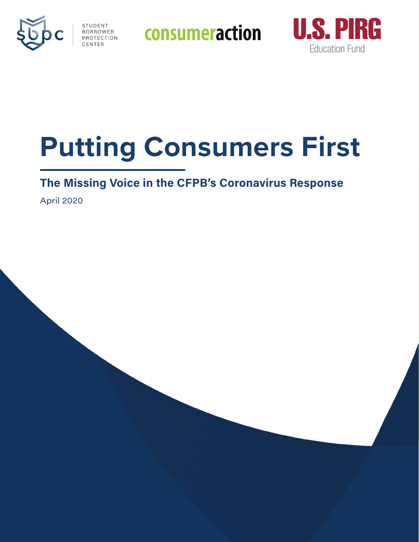

**STUDENT CONSUMERACTION** 



# **Putting Consumers First**

# **The Missing Voice in the CFPB's Coronavirus Response**

April 2020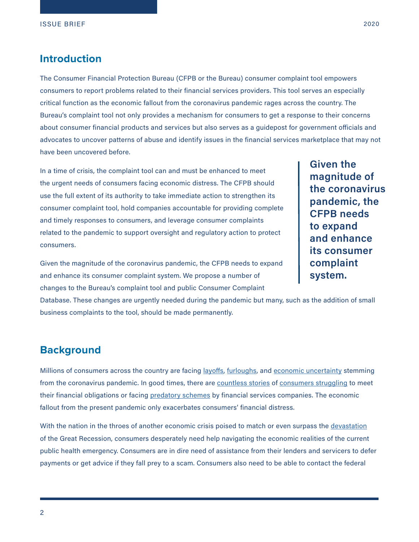#### **Introduction**

The Consumer Financial Protection Bureau (CFPB or the Bureau) consumer complaint tool empowers consumers to report problems related to their financial services providers. This tool serves an especially critical function as the economic fallout from the coronavirus pandemic rages across the country. The Bureau's complaint tool not only provides a mechanism for consumers to get a response to their concerns about consumer financial products and services but also serves as a guidepost for government officials and advocates to uncover patterns of abuse and identify issues in the financial services marketplace that may not have been uncovered before.

In a time of crisis, the complaint tool can and must be enhanced to meet the urgent needs of consumers facing economic distress. The CFPB should use the full extent of its authority to take immediate action to strengthen its consumer complaint tool, hold companies accountable for providing complete and timely responses to consumers, and leverage consumer complaints related to the pandemic to support oversight and regulatory action to protect consumers.

Given the magnitude of the coronavirus pandemic, the CFPB needs to expand and enhance its consumer complaint system. We propose a number of changes to the Bureau's complaint tool and public Consumer Complaint

Database. These changes are urgently needed during the pandemic but many, such as the addition of small business complaints to the tool, should be made permanently.

#### **Background**

Millions of consumers across the country are facing [layoffs,](https://www.cnbc.com/2020/04/23/weekly-jobless-claims.html) [furloughs](https://www.bloomberg.com/news/articles/2020-04-02/u-s-retail-furloughs-poised-to-exceed-1-million-from-shutdown), and [economic uncertainty](https://www.washingtonpost.com/business/2020/04/02/jobless-march-coronavirus/) stemming from the coronavirus pandemic. In good times, there are [countless stories](https://www.washingtonpost.com/business/2018/12/28/living-paycheck-paycheck-is-disturbingly-common-i-see-no-way-out/) of [consumers struggling](https://www.marketwatch.com/story/most-americans-are-one-paycheck-away-from-the-street-2016-01-06) to meet their financial obligations or facing [predatory schemes](https://www.consumerfinance.gov/about-us/newsroom/consumer-financial-protection-bureau-fines-wells-fargo-100-million-widespread-illegal-practice-secretly-opening-unauthorized-accounts/) by financial services companies. The economic fallout from the present pandemic only exacerbates consumers' financial distress.

With the nation in the throes of another economic crisis poised to match or even surpass the [devastation](https://www.latimes.com/politics/story/2020-04-01/coronavirus-recession-now-expected-to-be-deeper-and-longer) of the Great Recession, consumers desperately need help navigating the economic realities of the current public health emergency. Consumers are in dire need of assistance from their lenders and servicers to defer payments or get advice if they fall prey to a scam. Consumers also need to be able to contact the federal

**Given the magnitude of the coronavirus pandemic, the CFPB needs to expand and enhance its consumer complaint system.**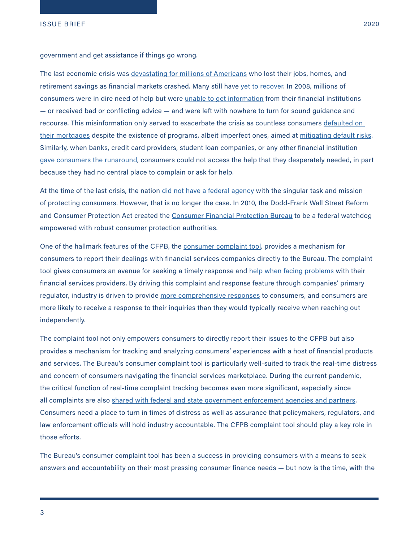government and get assistance if things go wrong.

The last economic crisis was <u>[devastating for millions of Americans](https://www.washingtonpost.com/graphics/2018/business/great-recession-10-years-out/)</u> who lost their jobs, homes, and retirement savings as financial markets crashed. Many still have [yet to recover](https://www.cnbc.com/2017/07/13/a-decade-after-great-recession-1-in-3-americans-still-havent-recovered.html). In 2008, millions of consumers were in dire need of help but were [unable to get information](https://www.propublica.org/article/by-the-numbers-a-revealing-look-at-the-mortgage-mod-meltdown#small-fraction) from their financial institutions — or received bad or conflicting advice — and were left with nowhere to turn for sound guidance and recourse. This misinformation only served to exacerbate the crisis as countless consumers defaulted on [their mortgages](https://www.sigtarp.gov/Audit%20Reports/Homeowners_Wrongfully_Terminated_Out_of_HAMP.pdf) despite the existence of programs, albeit imperfect ones, aimed at [mitigating default risks](https://www.treasury.gov/initiatives/financial-stability/TARP-Programs/housing/mha/Pages/hamp.aspx). Similarly, when banks, credit card providers, student loan companies, or any other financial institution [gave consumers the runaround,](https://protectborrowers.org/five-things-we-learned-about-navients-plot-to-cheat-student-borrowers/) consumers could not access the help that they desperately needed, in part because they had no central place to complain or ask for help.

At the time of the last crisis, the nation [did not have a federal agency](https://democracyjournal.org/magazine/5/unsafe-at-any-rate/) with the singular task and mission of protecting consumers. However, that is no longer the case. In 2010, the Dodd-Frank Wall Street Reform and Consumer Protection Act created the [Consumer Financial Protection Bureau](https://www.consumerfinance.gov/data-research/research-reports/building-the-cfpb/) to be a federal watchdog empowered with robust consumer protection authorities.

One of the hallmark features of the CFPB, the [consumer complaint tool,](https://www.consumerfinance.gov/complaint/) provides a mechanism for consumers to report their dealings with financial services companies directly to the Bureau. The complaint tool gives consumers an avenue for seeking a timely response and [help when facing problems](https://copirgfoundation.org/sites/pirg/files/reports/COP%20CreditBureaus%20Report%20Web.pdf) with their financial services providers. By driving this complaint and response feature through companies' primary regulator, industry is driven to provide [more comprehensive responses](https://www.cnbc.com/2013/09/23/feds-solve-problems-for-unhappy-bank-customers.html) to consumers, and consumers are more likely to receive a response to their inquiries than they would typically receive when reaching out independently.

The complaint tool not only empowers consumers to directly report their issues to the CFPB but also provides a mechanism for tracking and analyzing consumers' experiences with a host of financial products and services. The Bureau's consumer complaint tool is particularly well-suited to track the real-time distress and concern of consumers navigating the financial services marketplace. During the current pandemic, the critical function of real-time complaint tracking becomes even more significant, especially since all complaints are also [shared with federal and state government enforcement agencies and partners.](https://www.consumerfinance.gov/complaint/data-use/) Consumers need a place to turn in times of distress as well as assurance that policymakers, regulators, and law enforcement officials will hold industry accountable. The CFPB complaint tool should play a key role in those efforts.

The Bureau's consumer complaint tool has been a success in providing consumers with a means to seek answers and accountability on their most pressing consumer finance needs — but now is the time, with the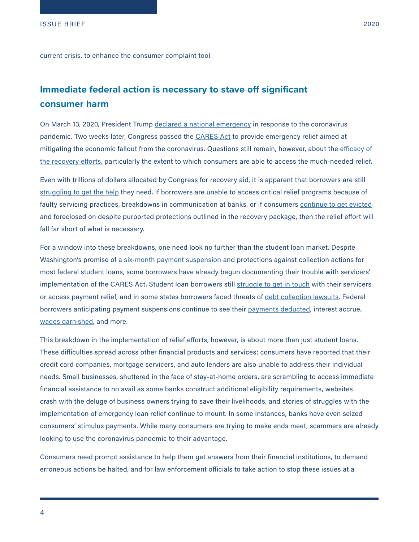current crisis, to enhance the consumer complaint tool.

### **Immediate federal action is necessary to stave off significant consumer harm**

On March 13, 2020, President Trump [declared a national emergency](https://www.nytimes.com/2020/03/13/us/politics/coronavirus-national-emergency.html) in response to the coronavirus pandemic. Two weeks later, Congress passed the [CARES Act](https://www.congress.gov/bill/116th-congress/senate-bill/3548/text) to provide emergency relief aimed at mitigating the economic fallout from the coronavirus. Questions still remain, however, about the efficacy of [the recovery efforts,](https://www.washingtonpost.com/education/2020/04/01/borrowers-confused-about-coronavirus-student-loan-relief-get-little-help-education-department/) particularly the extent to which consumers are able to access the much-needed relief.

Even with trillions of dollars allocated by Congress for recovery aid, it is apparent that borrowers are still [struggling to get the help](https://prospect.org/coronavirus/unsanitized-richard-cordray-imminent-financial-scam/?emci=93c44619-a679-ea11-a94c-00155d03b1e8&emdi=eadc8851-b779-ea11-a94c-00155d03b1e8&ceid=4754184) they need. If borrowers are unable to access critical relief programs because of faulty servicing practices, breakdowns in communication at banks, or if consumers [continue to get evicted](https://www.propublica.org/article/despite-federal-ban-landlords-are-still-moving-to-evict-people-during-the-pandemic) and foreclosed on despite purported protections outlined in the recovery package, then the relief effort will fall far short of what is necessary.

For a window into these breakdowns, one need look no further than the student loan market. Despite Washington's promise of a [six-month payment suspension](https://www.politico.com/newsletters/morning-education/2020/04/02/how-the-education-department-will-suspend-student-loan-payments-786606) and protections against collection actions for most federal student loans, some borrowers have already begun documenting their trouble with servicers' implementation of the CARES Act. Student loan borrowers still [struggle to get in touch](https://protectborrowers.org/when-the-student-loan-system-fails-payment-relief-becomes-just-another-empty-promise/.) with their servicers or access payment relief, and in some states borrowers faced threats of [debt collection lawsuits](https://www.washingtonpost.com/education/2020/04/03/student-loans-collection-lawsuits-coronavirus/). Federal borrowers anticipating payment suspensions continue to see their [payments deducted](https://twitter.com/kmrabie/status/1244972682799722496?s=21), interest accrue, [wages garnished](https://money.com/student-loans-coronavirus-stimulus-stop-wage-garnishment/), and more.

This breakdown in the implementation of relief efforts, however, is about more than just student loans. These difficulties spread across other financial products and services: consumers have reported that their credit card companies, mortgage servicers, and auto lenders are also unable to address their individual needs. Small businesses, shuttered in the face of stay-at-home orders, are scrambling to access immediate financial assistance to no avail as some banks construct additional eligibility requirements, websites crash with the deluge of business owners trying to save their livelihoods, and stories of struggles with the implementation of emergency loan relief continue to mount. In some instances, banks have even seized consumers' stimulus payments. While many consumers are trying to make ends meet, scammers are already looking to use the coronavirus pandemic to their advantage.

Consumers need prompt assistance to help them get answers from their financial institutions, to demand erroneous actions be halted, and for law enforcement officials to take action to stop these issues at a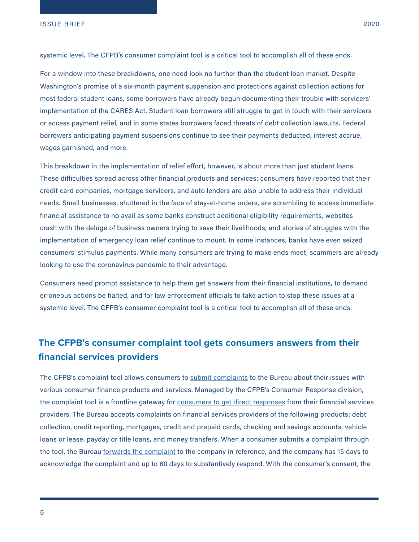systemic level. The CFPB's consumer complaint tool is a critical tool to accomplish all of these ends.

For a window into these breakdowns, one need look no further than the student loan market. Despite Washington's promise of a six-month payment suspension and protections against collection actions for most federal student loans, some borrowers have already begun documenting their trouble with servicers' implementation of the CARES Act. Student loan borrowers still struggle to get in touch with their servicers or access payment relief, and in some states borrowers faced threats of debt collection lawsuits. Federal borrowers anticipating payment suspensions continue to see their payments deducted, interest accrue, wages garnished, and more.

This breakdown in the implementation of relief effort, however, is about more than just student loans. These difficulties spread across other financial products and services: consumers have reported that their credit card companies, mortgage servicers, and auto lenders are also unable to address their individual needs. Small businesses, shuttered in the face of stay-at-home orders, are scrambling to access immediate financial assistance to no avail as some banks construct additional eligibility requirements, websites crash with the deluge of business owners trying to save their livelihoods, and stories of struggles with the implementation of emergency loan relief continue to mount. In some instances, banks have even seized consumers' stimulus payments. While many consumers are trying to make ends meet, scammers are already looking to use the coronavirus pandemic to their advantage.

Consumers need prompt assistance to help them get answers from their financial institutions, to demand erroneous actions be halted, and for law enforcement officials to take action to stop these issues at a systemic level. The CFPB's consumer complaint tool is a critical tool to accomplish all of these ends.

### **The CFPB's consumer complaint tool gets consumers answers from their financial services providers**

The CFPB's complaint tool allows consumers to [submit complaints](https://www.consumerfinance.gov/complaint/process/) to the Bureau about their issues with various consumer finance products and services. Managed by the CFPB's Consumer Response division, the complaint tool is a frontline gateway for [consumers to get direct responses](https://www.consumer-action.org/downloads/english/cfpb_full_dbase_report.pdf) from their financial services providers. The Bureau accepts complaints on financial services providers of the following products: debt collection, credit reporting, mortgages, credit and prepaid cards, checking and savings accounts, vehicle loans or lease, payday or title loans, and money transfers. When a consumer submits a complaint through the tool, the Bureau [forwards the complaint](https://www.consumerfinance.gov/complaint/process/) to the company in reference, and the company has 15 days to acknowledge the complaint and up to 60 days to substantively respond. With the consumer's consent, the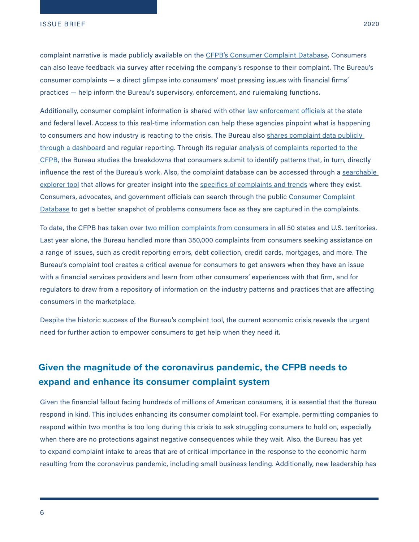complaint narrative is made publicly available on the [CFPB's Consumer Complaint Database](https://www.consumerfinance.gov/data-research/consumer-complaints/). Consumers can also leave feedback via survey after receiving the company's response to their complaint. The Bureau's consumer complaints — a direct glimpse into consumers' most pressing issues with financial firms' practices — help inform the Bureau's supervisory, enforcement, and rulemaking functions.

Additionally, consumer complaint information is shared with other [law enforcement officials](https://www.consumerfinance.gov/about-us/newsroom/consumer-financial-protection-bureau-and-national-association-of-attorneys-general-presidential-initiative-working-group-release-joint-statement-of-principles/) at the state and federal level. Access to this real-time information can help these agencies pinpoint what is happening to consumers and how industry is reacting to the crisis. The Bureau also shares complaint data publicly [through a dashboard](https://www.consumerfinance.gov/data-research/consumer-complaints/search/?from=0&searchField=all&searchText=&size=25&sort=created_date_desc) and regular reporting. Through its regular [analysis of complaints reported to the](https://www.consumerfinance.gov/data-research/research-reports/?title=&categories=consumer-complaint)  [CFPB,](https://www.consumerfinance.gov/data-research/research-reports/?title=&categories=consumer-complaint) the Bureau studies the breakdowns that consumers submit to identify patterns that, in turn, directly influence the rest of the Bureau's work. Also, the complaint database can be accessed through a searchable [explorer tool](https://www.consumerfinance.gov/data-research/consumer-complaints/search/?from=0&searchField=all&searchText=&size=25&sort=created_date_desc) that allows for greater insight into the [specifics of complaints and trends](https://www.consumerfinance.gov/data-research/consumer-complaints/) where they exist. Consumers, advocates, and government officials can search through the public [Consumer Complaint](https://www.consumerfinance.gov/data-research/consumer-complaints/)  [Database](https://www.consumerfinance.gov/data-research/consumer-complaints/) to get a better snapshot of problems consumers face as they are captured in the complaints.

To date, the CFPB has taken over [two million complaints from consumers](https://files.consumerfinance.gov/f/documents/cfpb_consumer-response-annual-report_2019.pdf) in all 50 states and U.S. territories. Last year alone, the Bureau handled more than 350,000 complaints from consumers seeking assistance on a range of issues, such as credit reporting errors, debt collection, credit cards, mortgages, and more. The Bureau's complaint tool creates a critical avenue for consumers to get answers when they have an issue with a financial services providers and learn from other consumers' experiences with that firm, and for regulators to draw from a repository of information on the industry patterns and practices that are affecting consumers in the marketplace.

Despite the historic success of the Bureau's complaint tool, the current economic crisis reveals the urgent need for further action to empower consumers to get help when they need it.

## **Given the magnitude of the coronavirus pandemic, the CFPB needs to expand and enhance its consumer complaint system**

Given the financial fallout facing hundreds of millions of American consumers, it is essential that the Bureau respond in kind. This includes enhancing its consumer complaint tool. For example, permitting companies to respond within two months is too long during this crisis to ask struggling consumers to hold on, especially when there are no protections against negative consequences while they wait. Also, the Bureau has yet to expand complaint intake to areas that are of critical importance in the response to the economic harm resulting from the coronavirus pandemic, including small business lending. Additionally, new leadership has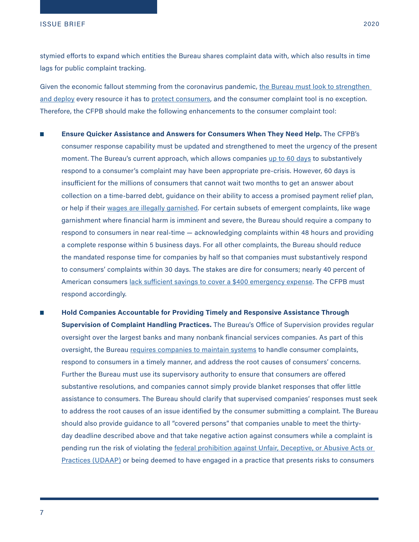stymied efforts to expand which entities the Bureau shares complaint data with, which also results in time lags for public complaint tracking.

Given the economic fallout stemming from the coronavirus pandemic, the Bureau must look to strengthen [and deploy](https://medium.com/@RichCordray/cfpbwhitepaper-193a5aed0d75) every resource it has to [protect consumers](https://protectborrowers.org/private-student-loan-oversight-amid-the-coronavirus-pandemic/), and the consumer complaint tool is no exception. Therefore, the CFPB should make the following enhancements to the consumer complaint tool:

- **Ensure Quicker Assistance and Answers for Consumers When They Need Help.** The CFPB's ÷, consumer response capability must be updated and strengthened to meet the urgency of the present moment. The Bureau's current approach, which allows companies [up to 60 days](https://www.consumerfinance.gov/complaint/process/) to substantively respond to a consumer's complaint may have been appropriate pre-crisis. However, 60 days is insufficient for the millions of consumers that cannot wait two months to get an answer about collection on a time-barred debt, guidance on their ability to access a promised payment relief plan, or help if their [wages are illegally garnished](https://protectborrowers.org/are-you-having-problems-with-government-wage-garnishment-on-your-student-loans-during-covid-19/). For certain subsets of emergent complaints, like wage garnishment where financial harm is imminent and severe, the Bureau should require a company to respond to consumers in near real-time — acknowledging complaints within 48 hours and providing a complete response within 5 business days. For all other complaints, the Bureau should reduce the mandated response time for companies by half so that companies must substantively respond to consumers' complaints within 30 days. The stakes are dire for consumers; nearly 40 percent of American consumers [lack sufficient savings to cover a \\$400 emergency expense.](https://www.federalreserve.gov/publications/2019-economic-well-being-of-us-households-in-2018-dealing-with-unexpected-expenses.htm) The CFPB must respond accordingly.
- **Hold Companies Accountable for Providing Timely and Responsive Assistance Through Supervision of Complaint Handling Practices.** The Bureau's Office of Supervision provides regular oversight over the largest banks and many nonbank financial services companies. As part of this oversight, the Bureau [requires companies to maintain systems](https://files.consumerfinance.gov/f/documents/201708_cfpb_compliance-management-review_supervision-and-examination-manual.pdf) to handle consumer complaints, respond to consumers in a timely manner, and address the root causes of consumers' concerns. Further the Bureau must use its supervisory authority to ensure that consumers are offered substantive resolutions, and companies cannot simply provide blanket responses that offer little assistance to consumers. The Bureau should clarify that supervised companies' responses must seek to address the root causes of an issue identified by the consumer submitting a complaint. The Bureau should also provide guidance to all "covered persons" that companies unable to meet the thirtyday deadline described above and that take negative action against consumers while a complaint is pending run the risk of violating the federal prohibition against Unfair, Deceptive, or Abusive Acts or [Practices \(UDAAP\)](https://files.consumerfinance.gov/f/documents/102012_cfpb_unfair-deceptive-abusive-acts-practices-udaaps_procedures.pdf) or being deemed to have engaged in a practice that presents risks to consumers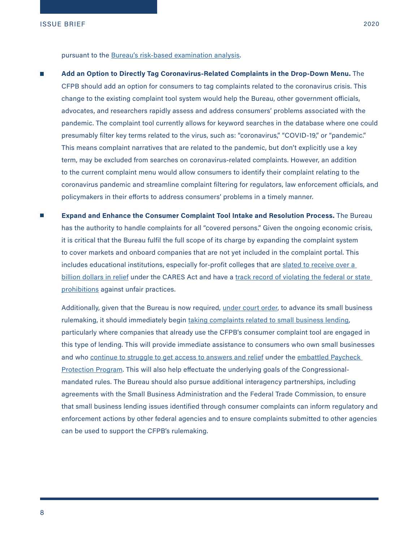pursuant to the [Bureau's risk-based examination analysis](https://www.consumerfinance.gov/policy-compliance/guidance/supervision-examinations/).

- **Add an Option to Directly Tag Coronavirus-Related Complaints in the Drop-Down Menu.** The CFPB should add an option for consumers to tag complaints related to the coronavirus crisis. This change to the existing complaint tool system would help the Bureau, other government officials, advocates, and researchers rapidly assess and address consumers' problems associated with the pandemic. The complaint tool currently allows for keyword searches in the database where one could presumably filter key terms related to the virus, such as: "coronavirus," "COVID-19," or "pandemic." This means complaint narratives that are related to the pandemic, but don't explicitly use a key term, may be excluded from searches on coronavirus-related complaints. However, an addition to the current complaint menu would allow consumers to identify their complaint relating to the coronavirus pandemic and streamline complaint filtering for regulators, law enforcement officials, and policymakers in their efforts to address consumers' problems in a timely manner.
- $\mathcal{L}_{\mathcal{A}}$ **Expand and Enhance the Consumer Complaint Tool Intake and Resolution Process.** The Bureau has the authority to handle complaints for all "covered persons." Given the ongoing economic crisis, it is critical that the Bureau fulfil the full scope of its charge by expanding the complaint system to cover markets and onboard companies that are not yet included in the complaint portal. This includes educational institutions, especially for-profit colleges that are slated to receive over a [billion dollars in relief](https://www.marketwatch.com/story/exclusive-these-for-profit-colleges-could-reap-up-to-1-billion-in-federal-bailout-money-2020-04-08?link=sfmw_tw) under the CARES Act and have a track record of violating the federal or state [prohibitions](https://protectborrowers.org/coalition-of-advocates-urge-congressional-oversight-commission-to-aggressively-monitor-over-1-billion-in-cares-act-funds-going-to-for-profit-schools-2/) against unfair practices.

Additionally, given that the Bureau is now required, [under court order,](https://www.americanbanker.com/news/cfpb-forced-to-complete-small-business-lending-rule) to advance its small business rulemaking, it should immediately begin [taking complaints related to small business lending,](https://www.nytimes.com/2020/04/10/business/minority-business-coronavirus-loans.html?referringSource=articleShare) particularly where companies that already use the CFPB's consumer complaint tool are engaged in this type of lending. This will provide immediate assistance to consumers who own small businesses and who [continue to struggle to get access to answers and relief](https://www.forbes.com/sites/ryanguina/2020/04/04/small-business-owners-frustrated-with-failed-paycheck-protection-program-launch/#9c8389465009) under the embattled Paycheck [Protection Program](https://www.washingtonpost.com/business/2020/04/08/video-sba-official-blasts-big-banks-over-failure-quickly-distribute-loans/). This will also help effectuate the underlying goals of the Congressionalmandated rules. The Bureau should also pursue additional interagency partnerships, including agreements with the Small Business Administration and the Federal Trade Commission, to ensure that small business lending issues identified through consumer complaints can inform regulatory and enforcement actions by other federal agencies and to ensure complaints submitted to other agencies can be used to support the CFPB's rulemaking.

8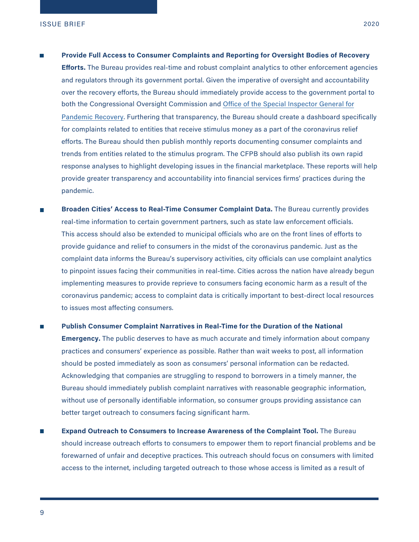- m. **Provide Full Access to Consumer Complaints and Reporting for Oversight Bodies of Recovery Efforts.** The Bureau provides real-time and robust complaint analytics to other enforcement agencies and regulators through its government portal. Given the imperative of oversight and accountability over the recovery efforts, the Bureau should immediately provide access to the government portal to both the Congressional Oversight Commission and [Office of the Special Inspector General for](https://www.pogo.org/resource/2020/04/oversight-provisions-in-the-cares-act-what-they-are-what-they-do-and-how-to-make-sure-they-work-for-americans/)  [Pandemic Recovery](https://www.pogo.org/resource/2020/04/oversight-provisions-in-the-cares-act-what-they-are-what-they-do-and-how-to-make-sure-they-work-for-americans/). Furthering that transparency, the Bureau should create a dashboard specifically for complaints related to entities that receive stimulus money as a part of the coronavirus relief efforts. The Bureau should then publish monthly reports documenting consumer complaints and trends from entities related to the stimulus program. The CFPB should also publish its own rapid response analyses to highlight developing issues in the financial marketplace. These reports will help provide greater transparency and accountability into financial services firms' practices during the pandemic.
- **Broaden Cities' Access to Real-Time Consumer Complaint Data.** The Bureau currently provides real-time information to certain government partners, such as state law enforcement officials. This access should also be extended to municipal officials who are on the front lines of efforts to provide guidance and relief to consumers in the midst of the coronavirus pandemic. Just as the complaint data informs the Bureau's supervisory activities, city officials can use complaint analytics to pinpoint issues facing their communities in real-time. Cities across the nation have already begun implementing measures to provide reprieve to consumers facing economic harm as a result of the coronavirus pandemic; access to complaint data is critically important to best-direct local resources to issues most affecting consumers.
- **Publish Consumer Complaint Narratives in Real-Time for the Duration of the National Emergency.** The public deserves to have as much accurate and timely information about company practices and consumers' experience as possible. Rather than wait weeks to post, all information should be posted immediately as soon as consumers' personal information can be redacted. Acknowledging that companies are struggling to respond to borrowers in a timely manner, the Bureau should immediately publish complaint narratives with reasonable geographic information, without use of personally identifiable information, so consumer groups providing assistance can better target outreach to consumers facing significant harm.
- **Expand Outreach to Consumers to Increase Awareness of the Complaint Tool.** The Bureau should increase outreach efforts to consumers to empower them to report financial problems and be forewarned of unfair and deceptive practices. This outreach should focus on consumers with limited access to the internet, including targeted outreach to those whose access is limited as a result of